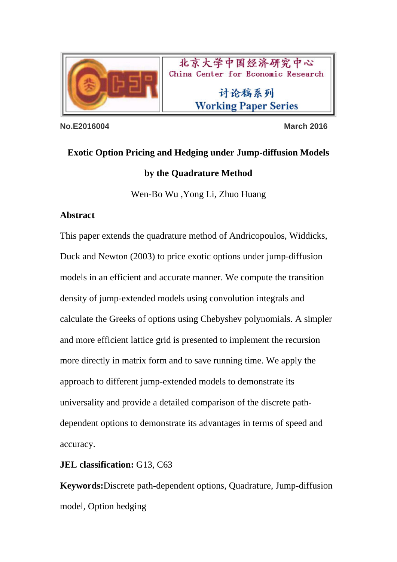

北京大学中国经济研究中心 China Center for Economic Research

> 讨论稿系列 **Working Paper Series**

**No.E2016004 March 2016** 

# **Exotic Option Pricing and Hedging under Jump-diffusion Models by the Quadrature Method**

Wen-Bo Wu ,Yong Li, Zhuo Huang

## **Abstract**

This paper extends the quadrature method of Andricopoulos, Widdicks, Duck and Newton (2003) to price exotic options under jump-diffusion models in an efficient and accurate manner. We compute the transition density of jump-extended models using convolution integrals and calculate the Greeks of options using Chebyshev polynomials. A simpler and more efficient lattice grid is presented to implement the recursion more directly in matrix form and to save running time. We apply the approach to different jump-extended models to demonstrate its universality and provide a detailed comparison of the discrete pathdependent options to demonstrate its advantages in terms of speed and accuracy.

**JEL classification:** G13, C63

**Keywords:**Discrete path-dependent options, Quadrature, Jump-diffusion model, Option hedging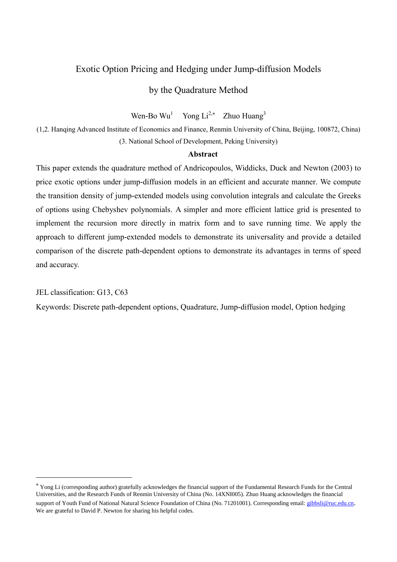## Exotic Option Pricing and Hedging under Jump-diffusion Models

## by the Quadrature Method

Wen-Bo Wu<sup>1</sup> Yong Li<sup>2,\*</sup> Zhuo Huang<sup>3</sup>

(1,2. Hanqing Advanced Institute of Economics and Finance, Renmin University of China, Beijing, 100872, China) (3. National School of Development, Peking University)

### **Abstract**

This paper extends the quadrature method of Andricopoulos, Widdicks, Duck and Newton (2003) to price exotic options under jump-diffusion models in an efficient and accurate manner. We compute the transition density of jump-extended models using convolution integrals and calculate the Greeks of options using Chebyshev polynomials. A simpler and more efficient lattice grid is presented to implement the recursion more directly in matrix form and to save running time. We apply the approach to different jump-extended models to demonstrate its universality and provide a detailed comparison of the discrete path-dependent options to demonstrate its advantages in terms of speed and accuracy.

JEL classification: G13, C63

**.** 

Keywords: Discrete path-dependent options, Quadrature, Jump-diffusion model, Option hedging

Yong Li (corresponding author) gratefully acknowledges the financial support of the Fundamental Research Funds for the Central Universities, and the Research Funds of Renmin University of China (No. 14XNI005). Zhuo Huang acknowledges the financial support of Youth Fund of National Natural Science Foundation of China (No. 71201001). Corresponding email[: gibbsli@ruc.edu.cn](mailto:gibbsli@ruc.edu.cn). We are grateful to David P. Newton for sharing his helpful codes.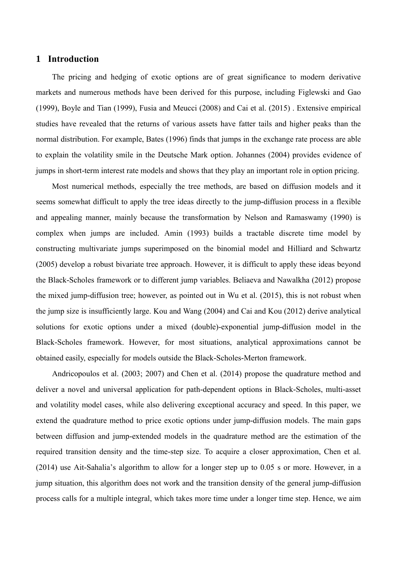## **1 Introduction**

The pricing and hedging of exotic options are of great significance to modern derivative markets and numerous methods have been derived for this purpose, including Figlewski and Gao (1999), Boyle and Tian (1999), Fusia and Meucci (2008) and Cai et al. (2015) . Extensive empirical studies have revealed that the returns of various assets have fatter tails and higher peaks than the normal distribution. For example, Bates (1996) finds that jumps in the exchange rate process are able to explain the volatility smile in the Deutsche Mark option. Johannes (2004) provides evidence of jumps in short-term interest rate models and shows that they play an important role in option pricing.

Most numerical methods, especially the tree methods, are based on diffusion models and it seems somewhat difficult to apply the tree ideas directly to the jump-diffusion process in a flexible and appealing manner, mainly because the transformation by Nelson and Ramaswamy (1990) is complex when jumps are included. Amin (1993) builds a tractable discrete time model by constructing multivariate jumps superimposed on the binomial model and Hilliard and Schwartz (2005) develop a robust bivariate tree approach. However, it is difficult to apply these ideas beyond the Black-Scholes framework or to different jump variables. Beliaeva and Nawalkha (2012) propose the mixed jump-diffusion tree; however, as pointed out in Wu et al. (2015), this is not robust when the jump size is insufficiently large. Kou and Wang (2004) and Cai and Kou (2012) derive analytical solutions for exotic options under a mixed (double)-exponential jump-diffusion model in the Black-Scholes framework. However, for most situations, analytical approximations cannot be obtained easily, especially for models outside the Black-Scholes-Merton framework.

Andricopoulos et al. (2003; 2007) and Chen et al. (2014) propose the quadrature method and deliver a novel and universal application for path-dependent options in Black-Scholes, multi-asset and volatility model cases, while also delivering exceptional accuracy and speed. In this paper, we extend the quadrature method to price exotic options under jump-diffusion models. The main gaps between diffusion and jump-extended models in the quadrature method are the estimation of the required transition density and the time-step size. To acquire a closer approximation, Chen et al. (2014) use Ait-Sahalia's algorithm to allow for a longer step up to 0.05 s or more. However, in a jump situation, this algorithm does not work and the transition density of the general jump-diffusion process calls for a multiple integral, which takes more time under a longer time step. Hence, we aim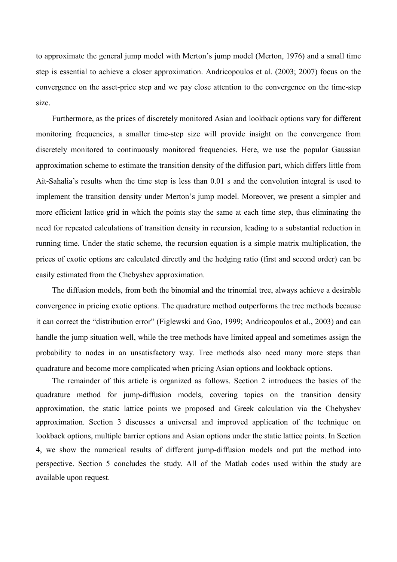to approximate the general jump model with Merton's jump model (Merton, 1976) and a small time step is essential to achieve a closer approximation. Andricopoulos et al. (2003; 2007) focus on the convergence on the asset-price step and we pay close attention to the convergence on the time-step size.

Furthermore, as the prices of discretely monitored Asian and lookback options vary for different monitoring frequencies, a smaller time-step size will provide insight on the convergence from discretely monitored to continuously monitored frequencies. Here, we use the popular Gaussian approximation scheme to estimate the transition density of the diffusion part, which differs little from Ait-Sahalia's results when the time step is less than 0.01 s and the convolution integral is used to implement the transition density under Merton's jump model. Moreover, we present a simpler and more efficient lattice grid in which the points stay the same at each time step, thus eliminating the need for repeated calculations of transition density in recursion, leading to a substantial reduction in running time. Under the static scheme, the recursion equation is a simple matrix multiplication, the prices of exotic options are calculated directly and the hedging ratio (first and second order) can be easily estimated from the Chebyshev approximation.

The diffusion models, from both the binomial and the trinomial tree, always achieve a desirable convergence in pricing exotic options. The quadrature method outperforms the tree methods because it can correct the "distribution error" (Figlewski and Gao, 1999; Andricopoulos et al., 2003) and can handle the jump situation well, while the tree methods have limited appeal and sometimes assign the probability to nodes in an unsatisfactory way. Tree methods also need many more steps than quadrature and become more complicated when pricing Asian options and lookback options.

The remainder of this article is organized as follows. Section 2 introduces the basics of the quadrature method for jump-diffusion models, covering topics on the transition density approximation, the static lattice points we proposed and Greek calculation via the Chebyshev approximation. Section 3 discusses a universal and improved application of the technique on lookback options, multiple barrier options and Asian options under the static lattice points. In Section 4, we show the numerical results of different jump-diffusion models and put the method into perspective. Section 5 concludes the study. All of the Matlab codes used within the study are available upon request.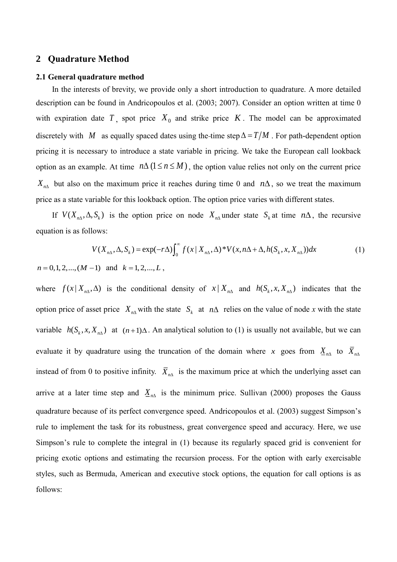## **2 Quadrature Method**

#### **2.1 General quadrature method**

In the interests of brevity, we provide only a short introduction to quadrature. A more detailed description can be found in Andricopoulos et al. (2003; 2007). Consider an option written at time 0 with expiration date  $T$ , spot price  $X_0$  and strike price  $K$ . The model can be approximated discretely with M as equally spaced dates using the-time step  $\Delta = T/M$ . For path-dependent option pricing it is necessary to introduce a state variable in pricing. We take the European call lookback option as an example. At time  $n\Delta (1 \le n \le M)$ , the option value relies not only on the current price  $X_{n\Lambda}$  but also on the maximum price it reaches during time 0 and  $n\Lambda$ , so we treat the maximum price as a state variable for this lookback option. The option price varies with different states.

If  $V(X_{n\Delta}, \Delta, S_k)$  is the option price on node  $X_{n\Delta}$  under state  $S_k$  at time  $n\Delta$ , the recursive equation is as follows:

$$
V(X_{n\Delta}, \Delta, S_k) = \exp(-r\Delta) \int_0^\infty f(x \mid X_{n\Delta}, \Delta)^* V(x, n\Delta + \Delta, h(S_k, x, X_{n\Delta})) dx \tag{1}
$$

 $n = 0, 1, 2, \dots, (M - 1)$  and  $k = 1, 2, \dots, L$ ,

where  $f(x|X_{n\Delta},\Delta)$  is the conditional density of  $x|X_{n\Delta}$  and  $h(S_k, x, X_{n\Delta})$  indicates that the option price of asset price  $X_{n\Delta}$  with the state  $S_k$  at  $n\Delta$  relies on the value of node *x* with the state variable  $h(S_k, x, X_{n\lambda})$  at  $(n+1)\Delta$ . An analytical solution to (1) is usually not available, but we can evaluate it by quadrature using the truncation of the domain where x goes from  $\underline{X}_{n\Delta}$  to  $\overline{X}_{n\Delta}$ instead of from 0 to positive infinity.  $\overline{X}_{n\Lambda}$  is the maximum price at which the underlying asset can arrive at a later time step and  $\underline{X}_{n\Delta}$  is the minimum price. Sullivan (2000) proposes the Gauss quadrature because of its perfect convergence speed. Andricopoulos et al. (2003) suggest Simpson's rule to implement the task for its robustness, great convergence speed and accuracy. Here, we use Simpson's rule to complete the integral in (1) because its regularly spaced grid is convenient for pricing exotic options and estimating the recursion process. For the option with early exercisable styles, such as Bermuda, American and executive stock options, the equation for call options is as follows: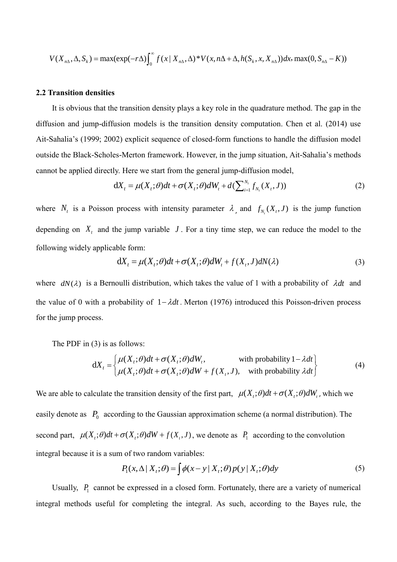$$
V(X_{n\Delta}, \Delta, S_k) = \max(\exp(-r\Delta) \int_0^\infty f(x \mid X_{n\Delta}, \Delta)^* V(x, n\Delta + \Delta, h(S_k, x, X_{n\Delta})) dx, \max(0, S_{n\Delta} - K))
$$

#### **2.2 Transition densities**

It is obvious that the transition density plays a key role in the quadrature method. The gap in the diffusion and jump-diffusion models is the transition density computation. Chen et al. (2014) use Ait-Sahalia's (1999; 2002) explicit sequence of closed-form functions to handle the diffusion model outside the Black-Scholes-Merton framework. However, in the jump situation, Ait-Sahalia's methods cannot be applied directly. Here we start from the general jump-diffusion model,

$$
dX_t = \mu(X_t; \theta)dt + \sigma(X_t; \theta)dW_t + d(\sum_{i=1}^{N_t} f_{N_t}(X_t, J))
$$
\n(2)

where  $N_t$  is a Poisson process with intensity parameter  $\lambda$ , and  $f_{N_t}(X_t, J)$  is the jump function depending on  $X_t$  and the jump variable  $J$ . For a tiny time step, we can reduce the model to the following widely applicable form:

$$
dX_t = \mu(X_t; \theta)dt + \sigma(X_t; \theta)dW_t + f(X_t, J)dN(\lambda)
$$
\n(3)

where  $dN(\lambda)$  is a Bernoulli distribution, which takes the value of 1 with a probability of  $\lambda dt$  and the value of 0 with a probability of  $1 - \lambda dt$ . Merton (1976) introduced this Poisson-driven process for the jump process.

The PDF in (3) is as follows:

$$
dX_{t} = \begin{cases} \mu(X_{t}; \theta)dt + \sigma(X_{t}; \theta)dW_{t}, & \text{with probability } 1 - \lambda dt \\ \mu(X_{t}; \theta)dt + \sigma(X_{t}; \theta)dW + f(X_{t}, J), & \text{with probability } \lambda dt \end{cases}
$$
(4)

We are able to calculate the transition density of the first part,  $\mu(X, \theta) dt + \sigma(X, \theta) dW$ , which we easily denote as  $P_0$  according to the Gaussian approximation scheme (a normal distribution). The second part,  $\mu(X_t;\theta)dt + \sigma(X_t;\theta)dW + f(X_t,J)$ , we denote as  $P_1$  according to the convolution integral because it is a sum of two random variables:

$$
P_1(x, \Delta | X_t; \theta) = \int \phi(x - y | X_t; \theta) p(y | X_t; \theta) dy
$$
\n(5)

Usually,  $P_1$  cannot be expressed in a closed form. Fortunately, there are a variety of numerical integral methods useful for completing the integral. As such, according to the Bayes rule, the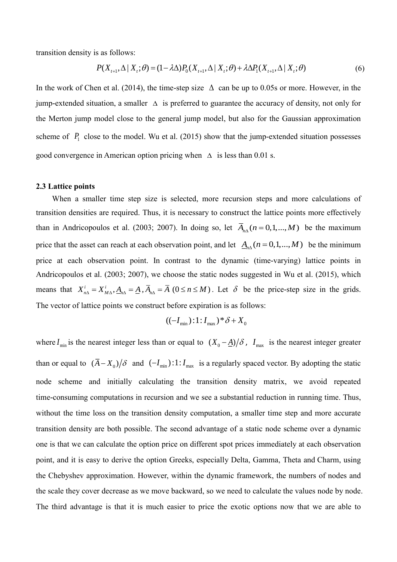transition density is as follows:

$$
P(X_{t+1}, \Delta | X_t; \theta) = (1 - \lambda \Delta) P_0(X_{t+1}, \Delta | X_t; \theta) + \lambda \Delta P_1(X_{t+1}, \Delta | X_t; \theta)
$$
\n
$$
(6)
$$

In the work of Chen et al. (2014), the time-step size  $\Delta$  can be up to 0.05s or more. However, in the jump-extended situation, a smaller  $\Delta$  is preferred to guarantee the accuracy of density, not only for the Merton jump model close to the general jump model, but also for the Gaussian approximation scheme of  $P_1$  close to the model. Wu et al. (2015) show that the jump-extended situation possesses good convergence in American option pricing when  $\Delta$  is less than 0.01 s.

#### **2.3 Lattice points**

When a smaller time step size is selected, more recursion steps and more calculations of transition densities are required. Thus, it is necessary to construct the lattice points more effectively than in Andricopoulos et al. (2003; 2007). In doing so, let  $\overline{A}_{n\lambda}(n=0,1,...,M)$  be the maximum price that the asset can reach at each observation point, and let  $A_{n\Lambda}(n=0,1,...,M)$  be the minimum price at each observation point. In contrast to the dynamic (time-varying) lattice points in Andricopoulos et al. (2003; 2007), we choose the static nodes suggested in Wu et al. (2015), which means that  $X_{n\Delta}^i = X_{M\Delta}^i$ ,  $A_{n\Delta} = \underline{A}$ ,  $\overline{A}_{n\Delta} = \overline{A}$  ( $0 \le n \le M$ ). Let  $\delta$  be the price-step size in the grids. The vector of lattice points we construct before expiration is as follows:

$$
((-I_{\min}):1:I_{\max})^* \delta + X_0
$$

where  $I_{\min}$  is the nearest integer less than or equal to  $(X_0 - A)/\delta$ ,  $I_{\max}$  is the nearest integer greater than or equal to  $(\bar{A}-X_0)/\delta$  and  $(-I_{min}):1:I_{max}$  is a regularly spaced vector. By adopting the static node scheme and initially calculating the transition density matrix, we avoid repeated time-consuming computations in recursion and we see a substantial reduction in running time. Thus, without the time loss on the transition density computation, a smaller time step and more accurate transition density are both possible. The second advantage of a static node scheme over a dynamic one is that we can calculate the option price on different spot prices immediately at each observation point, and it is easy to derive the option Greeks, especially Delta, Gamma, Theta and Charm, using the Chebyshev approximation. However, within the dynamic framework, the numbers of nodes and the scale they cover decrease as we move backward, so we need to calculate the values node by node. The third advantage is that it is much easier to price the exotic options now that we are able to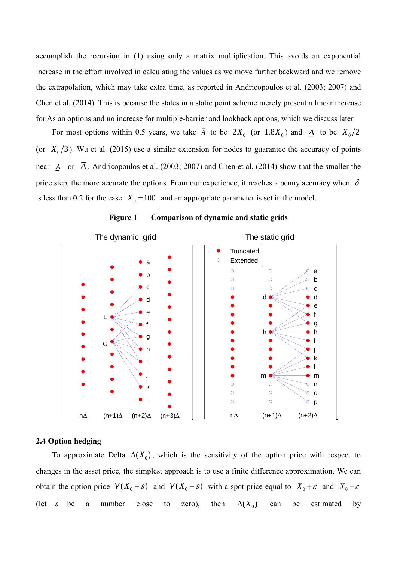accomplish the recursion in (1) using only a matrix multiplication. This avoids an exponential increase in the effort involved in calculating the values as we move further backward and we remove the extrapolation, which may take extra time, as reported in Andricopoulos et al. (2003; 2007) and Chen et al. (2014). This is because the states in a static point scheme merely present a linear increase for Asian options and no increase for multiple-barrier and lookback options, which we discuss later.

For most options within 0.5 years, we take  $\bar{A}$  to be  $2X_0$  (or  $1.8X_0$ ) and  $\underline{A}$  to be  $X_0/2$ (or  $X_0/3$ ). Wu et al. (2015) use a similar extension for nodes to guarantee the accuracy of points near  $\underline{A}$  or  $\overline{A}$ . Andricopoulos et al. (2003; 2007) and Chen et al. (2014) show that the smaller the price step, the more accurate the options. From our experience, it reaches a penny accuracy when  $\delta$ is less than 0.2 for the case  $X_0 = 100$  and an appropriate parameter is set in the model.



**Figure 1 Comparison of dynamic and static grids**

### **2.4 Option hedging**

To approximate Delta  $\Delta(X_0)$ , which is the sensitivity of the option price with respect to changes in the asset price, the simplest approach is to use a finite difference approximation. We can obtain the option price  $V(X_0 + \varepsilon)$  and  $V(X_0 - \varepsilon)$  with a spot price equal to  $X_0 + \varepsilon$  and  $X_0 - \varepsilon$ (let  $\varepsilon$ be a number close to zero), then  $\Delta(X_0)$ can be estimated by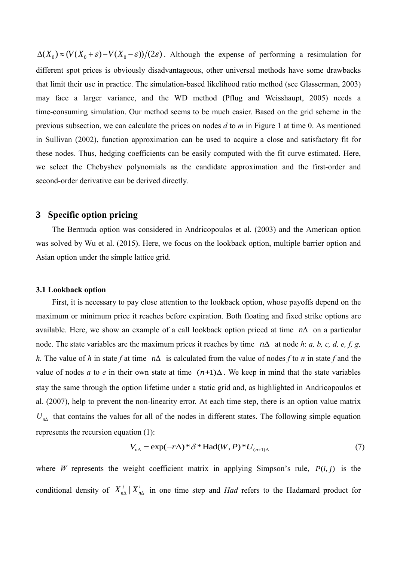$\Delta(X_0) \approx (V(X_0 + \varepsilon) - V(X_0 - \varepsilon))/(2\varepsilon)$ . Although the expense of performing a resimulation for different spot prices is obviously disadvantageous, other universal methods have some drawbacks that limit their use in practice. The simulation-based likelihood ratio method (see Glasserman, 2003) may face a larger variance, and the WD method (Pflug and Weisshaupt, 2005) needs a time-consuming simulation. Our method seems to be much easier. Based on the grid scheme in the previous subsection, we can calculate the prices on nodes *d* to *m* in Figure 1 at time 0. As mentioned in Sullivan (2002), function approximation can be used to acquire a close and satisfactory fit for these nodes. Thus, hedging coefficients can be easily computed with the fit curve estimated. Here, we select the Chebyshev polynomials as the candidate approximation and the first-order and second-order derivative can be derived directly.

## **3 Specific option pricing**

The Bermuda option was considered in Andricopoulos et al. (2003) and the American option was solved by Wu et al. (2015). Here, we focus on the lookback option, multiple barrier option and Asian option under the simple lattice grid.

#### **3.1 Lookback option**

First, it is necessary to pay close attention to the lookback option, whose payoffs depend on the maximum or minimum price it reaches before expiration. Both floating and fixed strike options are available. Here, we show an example of a call lookback option priced at time  $n\Delta$  on a particular node. The state variables are the maximum prices it reaches by time  $n\Delta$  at node h: a, b, c, d, e, f, g, h. The value of h in state f at time  $n\Delta$  is calculated from the value of nodes f to n in state f and the value of nodes *a* to *e* in their own state at time  $(n+1)\Delta$ . We keep in mind that the state variables stay the same through the option lifetime under a static grid and, as highlighted in Andricopoulos et al. (2007), help to prevent the non-linearity error. At each time step, there is an option value matrix  $U_{n\Lambda}$  that contains the values for all of the nodes in different states. The following simple equation represents the recursion equation (1):

tion (1):  
\n
$$
V_{n\Delta} = \exp(-r\Delta)^* \delta^* \text{Had}(W, P)^* U_{(n+1)\Delta}
$$
\n(7)

where *W* represents the weight coefficient matrix in applying Simpson's rule,  $P(i, j)$  is the conditional density of  $X_{n\Delta}^j | X_{n\Delta}^i$  in one time step and *Had* refers to the Hadamard product for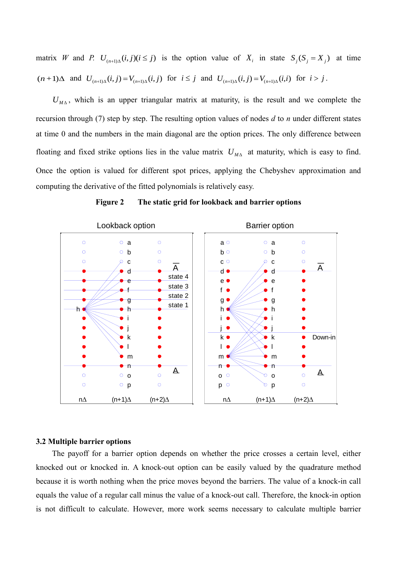matrix W and P.  $U_{(n+1)\Delta}(i, j) (i \le j)$  is the option value of  $X_i$  in state  $S_j (S_j = X_j)$  at time  $(n+1)\Delta$  and  $U_{(n+1)\Delta}(i, j) = V_{(n+1)\Delta}(i, j)$  for  $i \leq j$  and  $U_{(n+1)\Delta}(i, j) = V_{(n+1)\Delta}(i, i)$  for  $i > j$ .

 $U_{M\Delta}$ , which is an upper triangular matrix at maturity, is the result and we complete the recursion through (7) step by step. The resulting option values of nodes *d* to *n* under different states at time 0 and the numbers in the main diagonal are the option prices. The only difference between floating and fixed strike options lies in the value matrix  $U_{M\Lambda}$  at maturity, which is easy to find. Once the option is valued for different spot prices, applying the Chebyshev approximation and computing the derivative of the fitted polynomials is relatively easy.



**Figure 2 The static grid for lookback and barrier options**

### **3.2 Multiple barrier options**

The payoff for a barrier option depends on whether the price crosses a certain level, either knocked out or knocked in. A knock-out option can be easily valued by the quadrature method because it is worth nothing when the price moves beyond the barriers. The value of a knock-in call equals the value of a regular call minus the value of a knock-out call. Therefore, the knock-in option is not difficult to calculate. However, more work seems necessary to calculate multiple barrier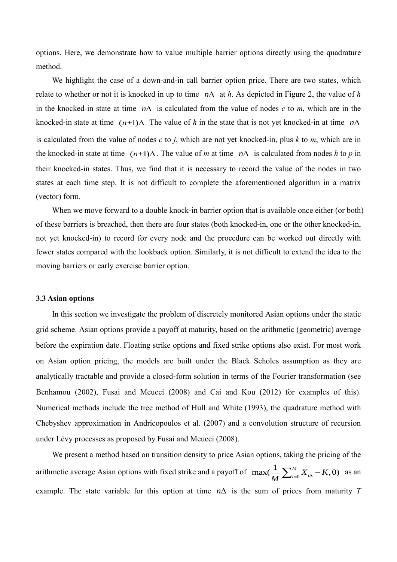options. Here, we demonstrate how to value multiple barrier options directly using the quadrature method.

We highlight the case of a down-and-in call barrier option price. There are two states, which relate to whether or not it is knocked in up to time  $n\Delta$  at *h*. As depicted in Figure 2, the value of *h* in the knocked-in state at time  $n\Delta$  is calculated from the value of nodes *c* to *m*, which are in the knocked-in state at time  $(n+1)\Delta$ . The value of h in the state that is not yet knocked-in at time  $n\Delta$ is calculated from the value of nodes *c* to *j*, which are not yet knocked-in, plus *k* to *m*, which are in the knocked-in state at time  $(n+1)\Delta$ . The value of *m* at time  $n\Delta$  is calculated from nodes *h* to *p* in their knocked-in states. Thus, we find that it is necessary to record the value of the nodes in two states at each time step. It is not difficult to complete the aforementioned algorithm in a matrix (vector) form.

When we move forward to a double knock-in barrier option that is available once either (or both) of these barriers is breached, then there are four states (both knocked-in, one or the other knocked-in, not yet knocked-in) to record for every node and the procedure can be worked out directly with fewer states compared with the lookback option. Similarly, it is not difficult to extend the idea to the moving barriers or early exercise barrier option.

#### **3.3 Asian options**

In this section we investigate the problem of discretely monitored Asian options under the static grid scheme. Asian options provide a payoff at maturity, based on the arithmetic (geometric) average before the expiration date. Floating strike options and fixed strike options also exist. For most work on Asian option pricing, the models are built under the Black Scholes assumption as they are analytically tractable and provide a closed-form solution in terms of the Fourier transformation (see Benhamou (2002), Fusai and Meucci (2008) and Cai and Kou (2012) for examples of this). Numerical methods include the tree method of Hull and White (1993), the quadrature method with Chebyshev approximation in Andricopoulos et al. (2007) and a convolution structure of recursion under Lévy processes as proposed by Fusai and Meucci (2008).

We present a method based on transition density to price Asian options, taking the pricing of the arithmetic average Asian options with fixed strike and a payoff of  $\max(\frac{1}{M}\sum_{i=0}^{M}$  $\max(\frac{1}{M}\sum_{i=0}^{M}X_{i\Delta}-K,0)$  $\frac{1}{M} \sum_{i=0}^{M} X_{i\Delta} - K$ , 0) as an example. The state variable for this option at time  $n\Delta$  is the sum of prices from maturity *T*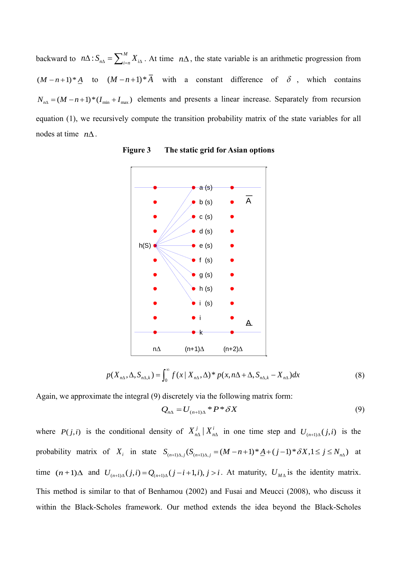backward to  $n\Delta$ :  $S_{n\Delta} = \sum_{i=1}^{M}$  $n\Delta$ :  $S_{n\Delta} = \sum_{i=n}^{M} X_{i\Delta}$ . At time  $n\Delta$ , the state variable is an arithmetic progression from  $(M - n + 1)*A$  to  $(M - n + 1)*A$  with a constant difference of  $\delta$ , which contains  $N_{n\Delta} = (M - n + 1) * (I_{\min} + I_{\max})$  elements and presents a linear increase. Separately from recursion equation (1), we recursively compute the transition probability matrix of the state variables for all nodes at time  $n\Delta$ .



**Figure 3 The static grid for Asian options**

$$
p(X_{n\Delta}, \Delta, S_{n\Delta,k}) = \int_0^\infty f(x \mid X_{n\Delta}, \Delta)^* p(x, n\Delta + \Delta, S_{n\Delta,k} - X_{n\Delta}) dx \tag{8}
$$

Again, we approximate the integral (9) discretely via the following matrix form:

$$
Q_{n\Delta} = U_{(n+1)\Delta} * P * \delta X \tag{9}
$$

where  $P(j,i)$  is the conditional density of  $X_{n\Delta}^j | X_{n\Delta}^i$  in one time step and  $U_{(n+1)\Delta}(j,i)$  is the probability matrix of  $X_i$  in state  $S_{(n+1)\Delta,j}(S_{(n+1)\Delta,j} = (M-n+1)^*\underline{A} + (j-1)^*\delta X, 1 \le j \le N_{n\Delta}$  at time  $(n+1)\Delta$  and  $U_{(n+1)\Delta}(j,i) = Q_{(n+1)\Delta}(j-i+1,i), j>i$ . At maturity,  $U_{M\Delta}$  is the identity matrix. This method is similar to that of Benhamou (2002) and Fusai and Meucci (2008), who discuss it within the Black-Scholes framework. Our method extends the idea beyond the Black-Scholes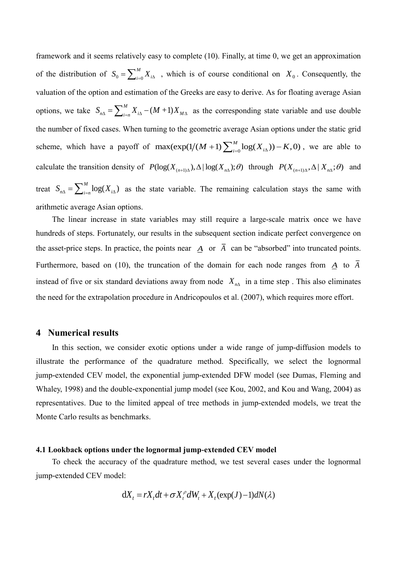framework and it seems relatively easy to complete (10). Finally, at time 0, we get an approximation of the distribution of  $S_0 = \sum_{i=0}^{m}$ *M*  $S_0 = \sum_{i=0}^{M} X_{i\Delta}$ , which is of course conditional on  $X_0$ . Consequently, the valuation of the option and estimation of the Greeks are easy to derive. As for floating average Asian options, we take  $S_{n\Delta} = \sum_{i=n}^{M} X_{i\Delta} - (M+1)X_{M\Delta}$  $=\sum_{i=n}^{M} X_{i\Delta} - (M+1)X_{M\Delta}$  as the corresponding state variable and use double the number of fixed cases. When turning to the geometric average Asian options under the static grid scheme, which have a payoff of max( $\exp(1/(M+1)\sum_{i=0}^{M} \log(X_{i\Delta})) - K$ ,0)  $M + 1$ )  $\sum_{i=0}^{M} \log(X_{i\Delta})) - K$ , 0), we are able to calculate the transition density of  $P(\log(X_{(n+1)\Delta}), \Delta | \log(X_{n\Delta}); \theta)$  through  $P(X_{(n+1)\Delta}, \Delta | X_{n\Delta}; \theta)$  and treat  $S_{n\Delta} = \sum_{i=n}^{M} \log(X_{i\Delta})$  as the state variable. The remaining calculation stays the same with arithmetic average Asian options.

The linear increase in state variables may still require a large-scale matrix once we have hundreds of steps. Fortunately, our results in the subsequent section indicate perfect convergence on the asset-price steps. In practice, the points near  $\overline{A}$  or  $\overline{A}$  can be "absorbed" into truncated points. Furthermore, based on (10), the truncation of the domain for each node ranges from *A* to *A* instead of five or six standard deviations away from node  $X_{n\Delta}$  in a time step. This also eliminates the need for the extrapolation procedure in Andricopoulos et al. (2007), which requires more effort.

## **4 Numerical results**

In this section, we consider exotic options under a wide range of jump-diffusion models to illustrate the performance of the quadrature method. Specifically, we select the lognormal jump-extended CEV model, the exponential jump-extended DFW model (see Dumas, Fleming and Whaley, 1998) and the double-exponential jump model (see Kou, 2002, and Kou and Wang, 2004) as representatives. Due to the limited appeal of tree methods in jump-extended models, we treat the Monte Carlo results as benchmarks.

#### **4.1 Lookback options under the lognormal jump-extended CEV model**

To check the accuracy of the quadrature method, we test several cases under the lognormal jump-extended CEV model:

$$
dX_t = rX_t dt + \sigma X_t^{\rho} dW_t + X_t (\exp(J) - 1) dN(\lambda)
$$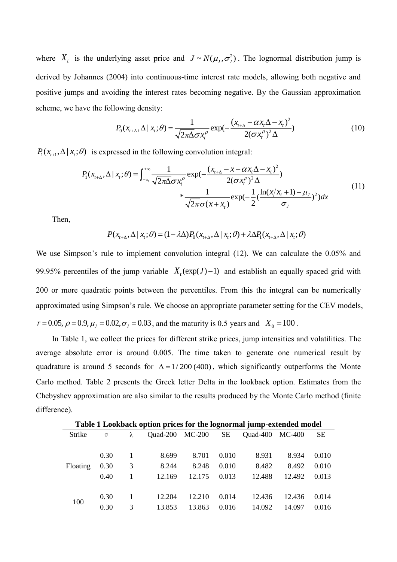where  $X_t$  is the underlying asset price and  $J \sim N(\mu_J, \sigma_J^2)$ . The lognormal distribution jump is derived by Johannes (2004) into continuous-time interest rate models, allowing both negative and positive jumps and avoiding the interest rates becoming negative. By the Gaussian approximation scheme, we have the following density:

$$
P_0(x_{t+\Delta}, \Delta \mid x_t; \theta) = \frac{1}{\sqrt{2\pi\Delta\sigma x_t^{\rho}}} \exp(-\frac{(x_{t+\Delta} - \alpha x_t \Delta - x_t)^2}{2(\sigma x_t^{\rho})^2 \Delta})
$$
(10)

 $P_1(x_{t+1}, \Delta | x_t; \theta)$  is expressed in the following convolution integral:

$$
P_{1}(x_{t+\Delta}, \Delta \mid x_{t}; \theta) = \int_{-x_{t}}^{+\infty} \frac{1}{\sqrt{2\pi\Delta}\sigma x_{t}^{\rho}} \exp(-\frac{(x_{t+\Delta} - x - \alpha x_{t}\Delta - x_{t})^{2}}{2(\sigma x_{t}^{\rho})^{2}\Delta}) + \frac{1}{\sqrt{2\pi}\sigma(x + x_{t})} \exp(-\frac{1}{2}(\frac{\ln(x/x_{t} + 1) - \mu_{t}}{\sigma_{t}})^{2})dx
$$
(11)

Then,

$$
P(x_{t+\Delta}, \Delta \mid x_t; \theta) = (1 - \lambda \Delta) P_0(x_{t+\Delta}, \Delta \mid x_t; \theta) + \lambda \Delta P_1(x_{t+\Delta}, \Delta \mid x_t; \theta)
$$

We use Simpson's rule to implement convolution integral (12). We can calculate the 0.05% and 99.95% percentiles of the jump variable  $X_t(exp(J)-1)$  and establish an equally spaced grid with 200 or more quadratic points between the percentiles. From this the integral can be numerically approximated using Simpson's rule. We choose an appropriate parameter setting for the CEV models,  $r = 0.05$ ,  $\rho = 0.9$ ,  $\mu_{J} = 0.02$ ,  $\sigma_{J} = 0.03$ , and the maturity is 0.5 years and  $X_{0} = 100$ .

In Table 1, we collect the prices for different strike prices, jump intensities and volatilities. The average absolute error is around 0.005. The time taken to generate one numerical result by quadrature is around 5 seconds for  $\Delta = 1/200 (400)$ , which significantly outperforms the Monte Carlo method. Table 2 presents the Greek letter Delta in the lookback option. Estimates from the Chebyshev approximation are also similar to the results produced by the Monte Carlo method (finite difference).

| Table 1 Lookback option prices for the lognormal jump-extended model |          |   |          |          |       |          |        |           |  |  |  |
|----------------------------------------------------------------------|----------|---|----------|----------|-------|----------|--------|-----------|--|--|--|
| Strike                                                               | $\sigma$ | λ | Quad-200 | $MC-200$ | SЕ    | Quad-400 | MC-400 | <b>SE</b> |  |  |  |
|                                                                      |          |   |          |          |       |          |        |           |  |  |  |
|                                                                      | 0.30     |   | 8.699    | 8.701    | 0.010 | 8.931    | 8.934  | 0.010     |  |  |  |
| Floating                                                             | 0.30     | 3 | 8.244    | 8.248    | 0.010 | 8.482    | 8.492  | 0.010     |  |  |  |
|                                                                      | 0.40     |   | 12.169   | 12.175   | 0.013 | 12.488   | 12.492 | 0.013     |  |  |  |
|                                                                      |          |   |          |          |       |          |        |           |  |  |  |
| 100                                                                  | 0.30     |   | 12.204   | 12.210   | 0.014 | 12.436   | 12.436 | 0.014     |  |  |  |
|                                                                      | 0.30     | 3 | 13.853   | 13.863   | 0.016 | 14.092   | 14.097 | 0.016     |  |  |  |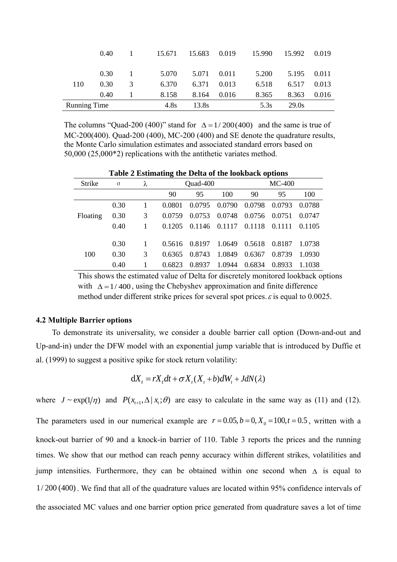|                     | (0.40) |                                      | 15.671 | 15.683 0.019 |       | 15.990 | 15.992 | 0.019 |
|---------------------|--------|--------------------------------------|--------|--------------|-------|--------|--------|-------|
|                     |        |                                      |        |              |       |        |        |       |
|                     | 0.30   | $\begin{array}{ccc} & 1 \end{array}$ | 5.070  | 5.071        | 0.011 | 5.200  | 5.195  | 0.011 |
| 110                 | 0.30   | 3                                    | 6.370  | 6.371        | 0.013 | 6.518  | 6.517  | 0.013 |
|                     | 0.40   |                                      | 8.158  | 8.164        | 0.016 | 8.365  | 8.363  | 0.016 |
| <b>Running Time</b> |        | 4.8s                                 | 13.8s  |              | 5.3s  | 29.0s  |        |       |

The columns "Quad-200 (400)" stand for  $\Delta = 1/200(400)$  and the same is true of MC-200(400). Quad-200 (400), MC-200 (400) and SE denote the quadrature results, the Monte Carlo simulation estimates and associated standard errors based on 50,000 (25,000\*2) replications with the antithetic variates method.

| Table 2 Estimating the Delta of the lookback options |          |   |        |          |        |          |        |        |  |
|------------------------------------------------------|----------|---|--------|----------|--------|----------|--------|--------|--|
| Strike                                               | $\sigma$ | λ |        | Quad-400 |        | $MC-400$ |        |        |  |
|                                                      |          |   | 90     | 95       | 100    | 90       | 95     | 100    |  |
|                                                      | 0.30     |   | 0.0801 | 0.0795   | 0.0790 | 0.0798   | 0.0793 | 0.0788 |  |
| Floating                                             | 0.30     | 3 | 0.0759 | 0.0753   | 0.0748 | 0.0756   | 0.0751 | 0.0747 |  |
|                                                      | 0.40     |   | 0.1205 | 0.1146   | 0.1117 | 0.1118   | 0.1111 | 0.1105 |  |
|                                                      |          |   |        |          |        |          |        |        |  |
|                                                      | 0.30     |   | 0.5616 | 0.8197   | 1.0649 | 0.5618   | 0.8187 | 1.0738 |  |
| 100                                                  | 0.30     | 3 | 0.6365 | 0.8743   | 1.0849 | 0.6367   | 0.8739 | 1.0930 |  |
|                                                      | 0.40     |   | 0.6823 | 0.8937   | 1.0944 | 0.6834   | 0.8933 | 1.1038 |  |

0.40 1 0.6823 0.8937 1.0944 0.6834 0.8933 1.1038 This shows the estimated value of Delta for discretely monitored lookback options

with  $\Delta = 1/400$ , using the Chebyshev approximation and finite difference method under different strike prices for several spot prices.  $\varepsilon$  is equal to 0.0025.

## **4.2 Multiple Barrier options**

To demonstrate its universality, we consider a double barrier call option (Down-and-out and Up-and-in) under the DFW model with an exponential jump variable that is introduced by Duffie et al. (1999) to suggest a positive spike for stock return volatility:

$$
dX_t = rX_t dt + \sigma X_t (X_t + b) dW_t + JdN(\lambda)
$$

where  $J \sim \exp(1/\eta)$  and  $P(x_{t+1}, \Delta | x_t; \theta)$  are easy to calculate in the same way as (11) and (12).

The parameters used in our numerical example are  $r = 0.05$ ,  $b = 0$ ,  $X_0 = 100$ ,  $t = 0.5$ , written with a knock-out barrier of 90 and a knock-in barrier of 110. Table 3 reports the prices and the running times. We show that our method can reach penny accuracy within different strikes, volatilities and jump intensities. Furthermore, they can be obtained within one second when  $\Delta$  is equal to 1/ 200 (400). We find that all of the quadrature values are located within 95% confidence intervals of the associated MC values and one barrier option price generated from quadrature saves a lot of time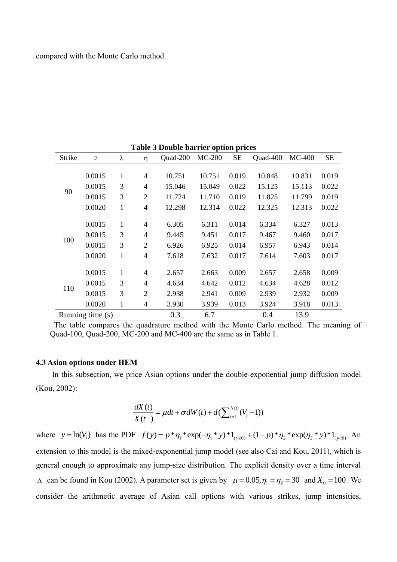| Strike | $\sigma$           | λ            | η              | Quad-200 | $MC-200$ | <b>SE</b> | Quad-400 | $MC-400$ | <b>SE</b> |
|--------|--------------------|--------------|----------------|----------|----------|-----------|----------|----------|-----------|
|        |                    |              |                |          |          |           |          |          |           |
|        | 0.0015             | 1            | $\overline{4}$ | 10.751   | 10.751   | 0.019     | 10.848   | 10.831   | 0.019     |
| 90     | 0.0015             | 3            | 4              | 15.046   | 15.049   | 0.022     | 15.125   | 15.113   | 0.022     |
|        | 0.0015             | 3            | $\overline{2}$ | 11.724   | 11.710   | 0.019     | 11.825   | 11.799   | 0.019     |
|        | 0.0020             | $\mathbf{1}$ | $\overline{4}$ | 12.298   | 12.314   | 0.022     | 12.325   | 12.313   | 0.022     |
|        |                    |              |                |          |          |           |          |          |           |
|        | 0.0015             | 1            | $\overline{4}$ | 6.305    | 6.311    | 0.014     | 6.334    | 6.327    | 0.013     |
|        | 0.0015             | 3            | $\overline{4}$ | 9.445    | 9.451    | 0.017     | 9.467    | 9.460    | 0.017     |
| 100    | 0.0015             | 3            | $\overline{2}$ | 6.926    | 6.925    | 0.014     | 6.957    | 6.943    | 0.014     |
|        | 0.0020             | 1            | $\overline{4}$ | 7.618    | 7.632    | 0.017     | 7.614    | 7.603    | 0.017     |
|        |                    |              |                |          |          |           |          |          |           |
|        | 0.0015             | 1            | $\overline{4}$ | 2.657    | 2.663    | 0.009     | 2.657    | 2.658    | 0.009     |
|        | 0.0015             | 3            | $\overline{4}$ | 4.634    | 4.642    | 0.012     | 4.634    | 4.628    | 0.012     |
| 110    | 0.0015             | 3            | $\overline{2}$ | 2.938    | 2.941    | 0.009     | 2.939    | 2.932    | 0.009     |
|        | 0.0020             | 1            | 4              | 3.930    | 3.939    | 0.013     | 3.924    | 3.918    | 0.013     |
|        | Running time $(s)$ |              |                | 0.3      | 6.7      |           | 0.4      | 13.9     |           |

**Table 3 Double barrier option prices**

## **4.3 Asian options under HEM**

In this subsection, we price Asian options under the double-exponential jump diffusion model (Kou, 2002):

$$
\frac{dX(t)}{X(t-)} = \mu dt + \sigma dW(t) + d(\sum_{i=1}^{N(t)} (V_i - 1))
$$

where  $y = \ln(V_i)$  has the PDF  $f(y) = p * \eta_1 * exp(-\eta_1 * y) * 1_{y \ge 0} + (1 - p) * \eta_2 * exp(\eta_2 * y) * 1_{y \le 0}$ . An extension to this model is the mixed-exponential jump model (see also Cai and Kou, 2011), which is general enough to approximate any jump-size distribution. The explicit density over a time interval  $\Delta$  can be found in Kou (2002). A parameter set is given by  $\mu = 0.05$ ,  $\eta_1 = \eta_2 = 30$  and  $X_0 = 100$ . We consider the arithmetic average of Asian call options with various strikes, jump intensities,

The table compares the quadrature method with the Monte Carlo method. The meaning of Quad-100, Quad-200, MC-200 and MC-400 are the same as in Table 1.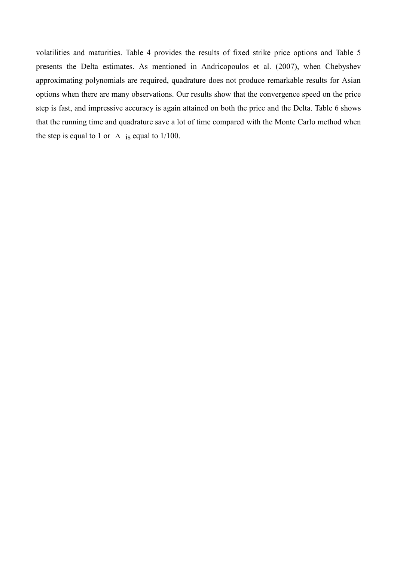volatilities and maturities. Table 4 provides the results of fixed strike price options and Table 5 presents the Delta estimates. As mentioned in Andricopoulos et al. (2007), when Chebyshev approximating polynomials are required, quadrature does not produce remarkable results for Asian options when there are many observations. Our results show that the convergence speed on the price step is fast, and impressive accuracy is again attained on both the price and the Delta. Table 6 shows that the running time and quadrature save a lot of time compared with the Monte Carlo method when the step is equal to 1 or  $\Delta$  is equal to 1/100.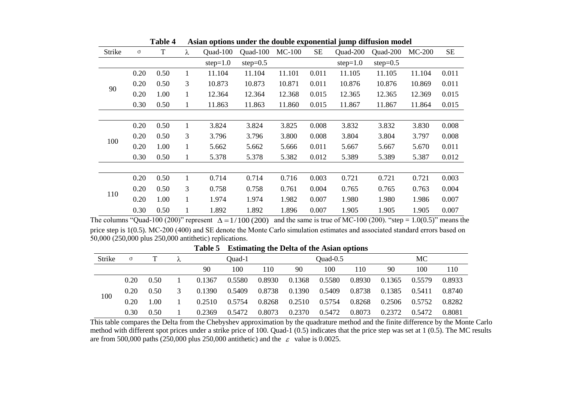| Strike | $\sigma$ | T    | λ            | Quad-100   | Quad-100    | $MC-100$ | SE    | Quad-200   | Quad-200    | $MC-200$ | <b>SE</b> |
|--------|----------|------|--------------|------------|-------------|----------|-------|------------|-------------|----------|-----------|
|        |          |      |              | $step=1.0$ | step= $0.5$ |          |       | $step=1.0$ | step= $0.5$ |          |           |
|        | 0.20     | 0.50 | 1            | 11.104     | 11.104      | 11.101   | 0.011 | 11.105     | 11.105      | 11.104   | 0.011     |
| 90     | 0.20     | 0.50 | 3            | 10.873     | 10.873      | 10.871   | 0.011 | 10.876     | 10.876      | 10.869   | 0.011     |
|        | 0.20     | 1.00 | $\mathbf{1}$ | 12.364     | 12.364      | 12.368   | 0.015 | 12.365     | 12.365      | 12.369   | 0.015     |
|        | 0.30     | 0.50 | 1            | 11.863     | 11.863      | 11.860   | 0.015 | 11.867     | 11.867      | 11.864   | 0.015     |
|        |          |      |              |            |             |          |       |            |             |          |           |
|        | 0.20     | 0.50 | $\mathbf{1}$ | 3.824      | 3.824       | 3.825    | 0.008 | 3.832      | 3.832       | 3.830    | 0.008     |
|        | 0.20     | 0.50 | 3            | 3.796      | 3.796       | 3.800    | 0.008 | 3.804      | 3.804       | 3.797    | 0.008     |
| 100    | 0.20     | 1.00 | 1            | 5.662      | 5.662       | 5.666    | 0.011 | 5.667      | 5.667       | 5.670    | 0.011     |
|        | 0.30     | 0.50 | $\mathbf{1}$ | 5.378      | 5.378       | 5.382    | 0.012 | 5.389      | 5.389       | 5.387    | 0.012     |
|        |          |      |              |            |             |          |       |            |             |          |           |
|        | 0.20     | 0.50 | 1            | 0.714      | 0.714       | 0.716    | 0.003 | 0.721      | 0.721       | 0.721    | 0.003     |
|        | 0.20     | 0.50 | 3            | 0.758      | 0.758       | 0.761    | 0.004 | 0.765      | 0.765       | 0.763    | 0.004     |
| 110    | 0.20     | 1.00 | 1            | 1.974      | 1.974       | 1.982    | 0.007 | 1.980      | 1.980       | 1.986    | 0.007     |
|        | 0.30     | 0.50 | 1            | 1.892      | 1.892       | 1.896    | 0.007 | 1.905      | 1.905       | 1.905    | 0.007     |

**Table 4 Asian options under the double exponential jump diffusion model**

The columns "Quad-100 (200)" represent  $\Delta = 1/100$  (200) and the same is true of MC-100 (200). "step = 1.0(0.5)" means the price step is 1(0.5). MC-200 (400) and SE denote the Monte Carlo simulation estimates and associated standard errors based on 50,000 (250,000 plus 250,000 antithetic) replications.

**Table 5 Estimating the Delta of the Asian options**

| Strike |      |      |        | Ouad-1 |        |        | $Quad-0.5$ |        |        | МC     |        |
|--------|------|------|--------|--------|--------|--------|------------|--------|--------|--------|--------|
|        |      |      | 90     | 100    | 110    | 90     | 100        | 110    | 90     | 100    | 110    |
|        | 0.20 | 0.50 | 0.1367 | 0.5580 | 0.8930 | 0.1368 | 0.5580     | 0.8930 | 0.1365 | 0.5579 | 0.8933 |
|        | 0.20 | 0.50 | 0.1390 | 0.5409 | 0.8738 | 0.1390 | 0.5409     | 0.8738 | 0.1385 | 0.5411 | 0.8740 |
| 100    | 0.20 | 1.00 | 0.2510 | 0.5754 | 0.8268 | 0.2510 | 0.5754     | 0.8268 | 0.2506 | 0.5752 | 0.8282 |
|        | 0.30 | 0.50 | 0.2369 | 0.5472 | 0.8073 | 0.2370 | 0.5472     | 0.8073 | 0.2372 | 0.5472 | 0.8081 |

This table compares the Delta from the Chebyshev approximation by the quadrature method and the finite difference by the Monte Carlo method with different spot prices under a strike price of 100. Quad-1 (0.5) indicates that the price step was set at 1 (0.5). The MC results are from 500,000 paths (250,000 plus 250,000 antithetic) and the  $\varepsilon$  value is 0.0025.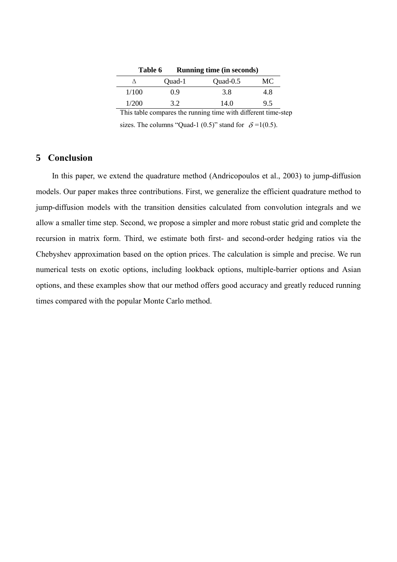| Table 6 |        | <b>Running time (in seconds)</b> |     |
|---------|--------|----------------------------------|-----|
|         | Quad-1 | $Quad-0.5$                       | MС  |
| 1/100   | 09     | 3.8                              | 4.8 |
| 1/200   | 32     | 14.0                             | 9.5 |

This table compares the running time with different time-step

sizes. The columns "Quad-1 (0.5)" stand for  $\delta = 1(0.5)$ .

## **5 Conclusion**

In this paper, we extend the quadrature method (Andricopoulos et al., 2003) to jump-diffusion models. Our paper makes three contributions. First, we generalize the efficient quadrature method to jump-diffusion models with the transition densities calculated from convolution integrals and we allow a smaller time step. Second, we propose a simpler and more robust static grid and complete the recursion in matrix form. Third, we estimate both first- and second-order hedging ratios via the Chebyshev approximation based on the option prices. The calculation is simple and precise. We run numerical tests on exotic options, including lookback options, multiple-barrier options and Asian options, and these examples show that our method offers good accuracy and greatly reduced running times compared with the popular Monte Carlo method.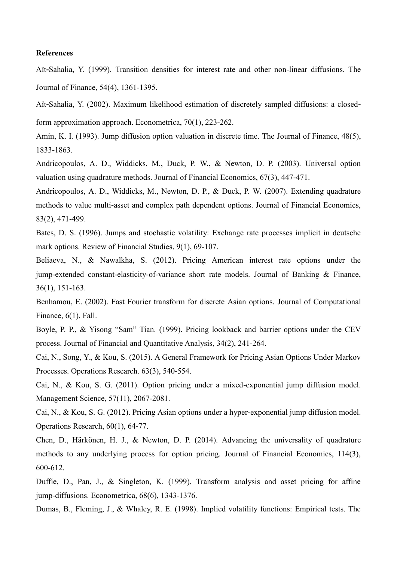#### **References**

Aït‐Sahalia, Y. (1999). Transition densities for interest rate and other non-linear diffusions. The Journal of Finance, 54(4), 1361-1395.

Aït-Sahalia, Y. (2002). Maximum likelihood estimation of discretely sampled diffusions: a closedform approximation approach. Econometrica, 70(1), 223-262.

Amin, K. I. (1993). Jump diffusion option valuation in discrete time. The Journal of Finance, 48(5), 1833-1863.

Andricopoulos, A. D., Widdicks, M., Duck, P. W., & Newton, D. P. (2003). Universal option valuation using quadrature methods. Journal of Financial Economics, 67(3), 447-471.

Andricopoulos, A. D., Widdicks, M., Newton, D. P., & Duck, P. W. (2007). Extending quadrature methods to value multi-asset and complex path dependent options. Journal of Financial Economics, 83(2), 471-499.

Bates, D. S. (1996). Jumps and stochastic volatility: Exchange rate processes implicit in deutsche mark options. Review of Financial Studies, 9(1), 69-107.

Beliaeva, N., & Nawalkha, S. (2012). Pricing American interest rate options under the jump-extended constant-elasticity-of-variance short rate models. Journal of Banking & Finance, 36(1), 151-163.

Benhamou, E. (2002). Fast Fourier transform for discrete Asian options. Journal of Computational Finance, 6(1), Fall.

Boyle, P. P., & Yisong "Sam" Tian. (1999). Pricing lookback and barrier options under the CEV process. Journal of Financial and Quantitative Analysis, 34(2), 241-264.

Cai, N., Song, Y., & Kou, S. (2015). A General Framework for Pricing Asian Options Under Markov Processes. Operations Research. 63(3), 540-554.

Cai, N., & Kou, S. G. (2011). Option pricing under a mixed-exponential jump diffusion model. Management Science, 57(11), 2067-2081.

Cai, N., & Kou, S. G. (2012). Pricing Asian options under a hyper-exponential jump diffusion model. Operations Research, 60(1), 64-77.

Chen, D., Härkönen, H. J., & Newton, D. P. (2014). Advancing the universality of quadrature methods to any underlying process for option pricing. Journal of Financial Economics, 114(3), 600-612.

Duffie, D., Pan, J., & Singleton, K. (1999). Transform analysis and asset pricing for affine jump-diffusions. Econometrica, 68(6), 1343-1376.

Dumas, B., Fleming, J., & Whaley, R. E. (1998). Implied volatility functions: Empirical tests. The